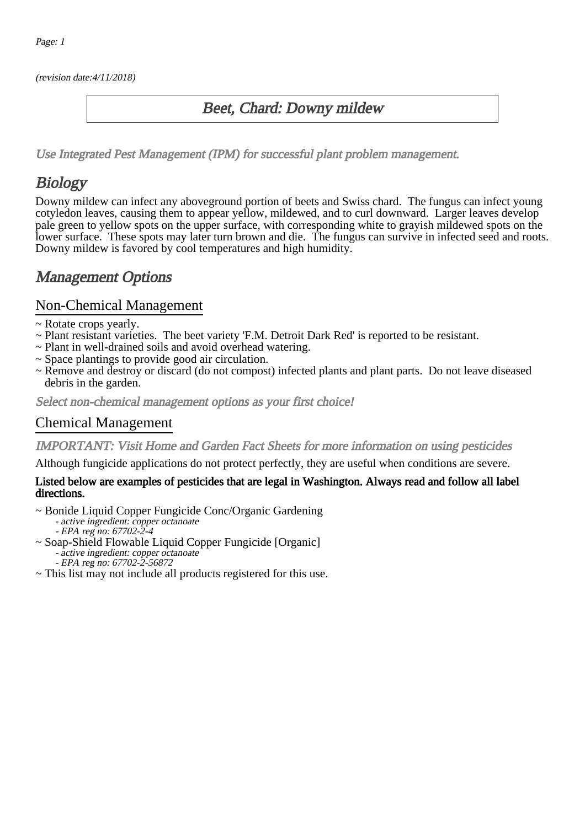(revision date:4/11/2018)

## Beet, Chard: Downy mildew

[Use Integrated Pest Management \(IPM\) for successful plant problem management.](http://pep.wsu.edu/Home_Garden/H_G_Pesticide_info/urban_Integrated_Pest_Managmen/)

## **Biology**

Downy mildew can infect any aboveground portion of beets and Swiss chard. The fungus can infect young cotyledon leaves, causing them to appear yellow, mildewed, and to curl downward. Larger leaves develop pale green to yellow spots on the upper surface, with corresponding white to grayish mildewed spots on the lower surface. These spots may later turn brown and die. The fungus can survive in infected seed and roots. Downy mildew is favored by cool temperatures and high humidity.

## Management Options

### Non-Chemical Management

- ~ Rotate crops yearly.
- ~ Plant resistant varieties. The beet variety 'F.M. Detroit Dark Red' is reported to be resistant.
- ~ Plant in well-drained soils and avoid overhead watering.
- ~ Space plantings to provide good air circulation.
- ~ Remove and destroy or discard (do not compost) infected plants and plant parts. Do not leave diseased debris in the garden.

Select non-chemical management options as your first choice!

### Chemical Management

IMPORTANT: [Visit Home and Garden Fact Sheets for more information on using pesticides](http://pep.wsu.edu/Home_Garden/H_G_Pesticide_info/)

Although fungicide applications do not protect perfectly, they are useful when conditions are severe.

#### Listed below are examples of pesticides that are legal in Washington. Always read and follow all label directions.

- ~ Bonide Liquid Copper Fungicide Conc/Organic Gardening
	- active ingredient: copper octanoate
	- EPA reg no: 67702-2-4
- ~ Soap-Shield Flowable Liquid Copper Fungicide [Organic]
	- active ingredient: copper octanoate
	- EPA reg no: 67702-2-56872
- ~ This list may not include all products registered for this use.